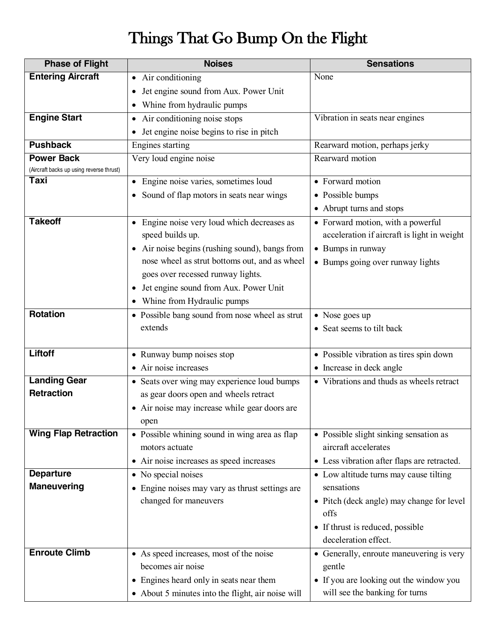## Things That Go Bump On the Flight

| <b>Phase of Flight</b>                   | <b>Noises</b>                                                   | <b>Sensations</b>                                              |
|------------------------------------------|-----------------------------------------------------------------|----------------------------------------------------------------|
| <b>Entering Aircraft</b>                 | • Air conditioning                                              | None                                                           |
|                                          | Jet engine sound from Aux. Power Unit                           |                                                                |
|                                          | Whine from hydraulic pumps                                      |                                                                |
| <b>Engine Start</b>                      | Air conditioning noise stops<br>$\bullet$                       | Vibration in seats near engines                                |
|                                          | Jet engine noise begins to rise in pitch                        |                                                                |
| <b>Pushback</b>                          | Engines starting                                                | Rearward motion, perhaps jerky                                 |
| <b>Power Back</b>                        | Very loud engine noise                                          | Rearward motion                                                |
| (Aircraft backs up using reverse thrust) |                                                                 |                                                                |
| <b>Taxi</b>                              | Engine noise varies, sometimes loud<br>$\bullet$                | • Forward motion                                               |
|                                          | Sound of flap motors in seats near wings                        | • Possible bumps                                               |
|                                          |                                                                 | • Abrupt turns and stops                                       |
| <b>Takeoff</b>                           | Engine noise very loud which decreases as<br>$\bullet$          | • Forward motion, with a powerful                              |
|                                          | speed builds up.                                                | acceleration if aircraft is light in weight                    |
|                                          | Air noise begins (rushing sound), bangs from<br>$\bullet$       | • Bumps in runway                                              |
|                                          | nose wheel as strut bottoms out, and as wheel                   | • Bumps going over runway lights                               |
|                                          | goes over recessed runway lights.                               |                                                                |
|                                          | Jet engine sound from Aux. Power Unit                           |                                                                |
|                                          | Whine from Hydraulic pumps                                      |                                                                |
| <b>Rotation</b>                          | • Possible bang sound from nose wheel as strut                  | • Nose goes up                                                 |
|                                          | extends                                                         | • Seat seems to tilt back                                      |
|                                          |                                                                 |                                                                |
| Liftoff                                  | • Runway bump noises stop                                       | • Possible vibration as tires spin down                        |
|                                          | • Air noise increases                                           | • Increase in deck angle                                       |
| <b>Landing Gear</b>                      | • Seats over wing may experience loud bumps                     | • Vibrations and thuds as wheels retract                       |
| <b>Retraction</b>                        | as gear doors open and wheels retract                           |                                                                |
|                                          | • Air noise may increase while gear doors are                   |                                                                |
|                                          | open                                                            |                                                                |
| <b>Wing Flap Retraction</b>              | • Possible whining sound in wing area as flap<br>motors actuate | • Possible slight sinking sensation as<br>aircraft accelerates |
|                                          | • Air noise increases as speed increases                        | • Less vibration after flaps are retracted.                    |
| <b>Departure</b>                         | • No special noises                                             | • Low altitude turns may cause tilting                         |
| <b>Maneuvering</b>                       | Engine noises may vary as thrust settings are                   | sensations                                                     |
|                                          | changed for maneuvers                                           | • Pitch (deck angle) may change for level                      |
|                                          |                                                                 | offs                                                           |
|                                          |                                                                 | • If thrust is reduced, possible                               |
|                                          |                                                                 | deceleration effect.                                           |
| <b>Enroute Climb</b>                     | • As speed increases, most of the noise                         | • Generally, enroute maneuvering is very                       |
|                                          | becomes air noise                                               | gentle                                                         |
|                                          | • Engines heard only in seats near them                         | • If you are looking out the window you                        |
|                                          | • About 5 minutes into the flight, air noise will               | will see the banking for turns                                 |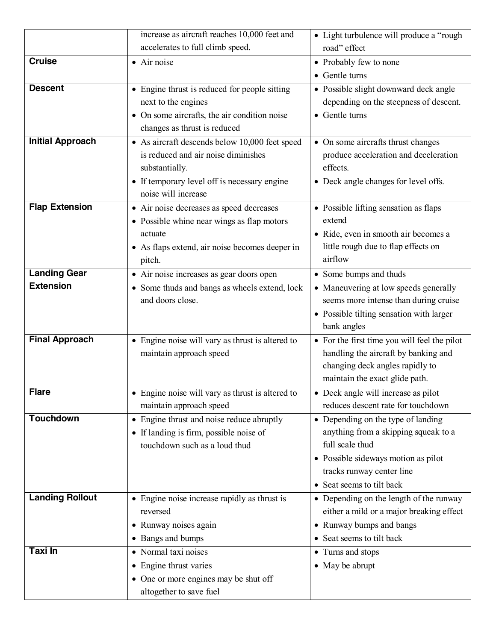|                         | increase as aircraft reaches 10,000 feet and                             | • Light turbulence will produce a "rough                                            |
|-------------------------|--------------------------------------------------------------------------|-------------------------------------------------------------------------------------|
|                         | accelerates to full climb speed.                                         | road" effect                                                                        |
| <b>Cruise</b>           | $\bullet$ Air noise                                                      | • Probably few to none                                                              |
|                         |                                                                          | • Gentle turns                                                                      |
| <b>Descent</b>          | • Engine thrust is reduced for people sitting                            | • Possible slight downward deck angle                                               |
|                         | next to the engines                                                      | depending on the steepness of descent.                                              |
|                         | • On some aircrafts, the air condition noise                             | • Gentle turns                                                                      |
|                         | changes as thrust is reduced                                             |                                                                                     |
| <b>Initial Approach</b> | • As aircraft descends below 10,000 feet speed                           | • On some aircrafts thrust changes                                                  |
|                         | is reduced and air noise diminishes                                      | produce acceleration and deceleration                                               |
|                         | substantially.                                                           | effects.                                                                            |
|                         | • If temporary level off is necessary engine                             | • Deck angle changes for level offs.                                                |
|                         | noise will increase                                                      |                                                                                     |
| <b>Flap Extension</b>   | • Air noise decreases as speed decreases                                 | • Possible lifting sensation as flaps                                               |
|                         | • Possible whine near wings as flap motors                               | extend                                                                              |
|                         | actuate                                                                  | • Ride, even in smooth air becomes a                                                |
|                         | • As flaps extend, air noise becomes deeper in                           | little rough due to flap effects on                                                 |
|                         | pitch.                                                                   | airflow                                                                             |
| <b>Landing Gear</b>     | • Air noise increases as gear doors open                                 | • Some bumps and thuds                                                              |
| <b>Extension</b>        | • Some thuds and bangs as wheels extend, lock                            | • Maneuvering at low speeds generally                                               |
|                         | and doors close.                                                         | seems more intense than during cruise                                               |
|                         |                                                                          | • Possible tilting sensation with larger                                            |
|                         |                                                                          | bank angles                                                                         |
| <b>Final Approach</b>   | • Engine noise will vary as thrust is altered to                         | • For the first time you will feel the pilot                                        |
|                         | maintain approach speed                                                  | handling the aircraft by banking and                                                |
|                         |                                                                          | changing deck angles rapidly to                                                     |
|                         |                                                                          | maintain the exact glide path.                                                      |
| <b>Flare</b>            | • Engine noise will vary as thrust is altered to                         | • Deck angle will increase as pilot                                                 |
|                         | maintain approach speed                                                  | reduces descent rate for touchdown                                                  |
| <b>Touchdown</b>        | • Engine thrust and noise reduce abruptly                                | • Depending on the type of landing                                                  |
|                         | • If landing is firm, possible noise of<br>touchdown such as a loud thud | anything from a skipping squeak to a<br>full scale thud                             |
|                         |                                                                          |                                                                                     |
|                         |                                                                          | • Possible sideways motion as pilot<br>tracks runway center line                    |
|                         |                                                                          | • Seat seems to tilt back                                                           |
| <b>Landing Rollout</b>  |                                                                          |                                                                                     |
|                         | • Engine noise increase rapidly as thrust is<br>reversed                 | • Depending on the length of the runway<br>either a mild or a major breaking effect |
|                         | • Runway noises again                                                    | • Runway bumps and bangs                                                            |
|                         | • Bangs and bumps                                                        | • Seat seems to tilt back                                                           |
| <b>Taxi In</b>          | • Normal taxi noises                                                     | • Turns and stops                                                                   |
|                         | • Engine thrust varies                                                   | • May be abrupt                                                                     |
|                         |                                                                          |                                                                                     |
|                         | • One or more engines may be shut off<br>altogether to save fuel         |                                                                                     |
|                         |                                                                          |                                                                                     |